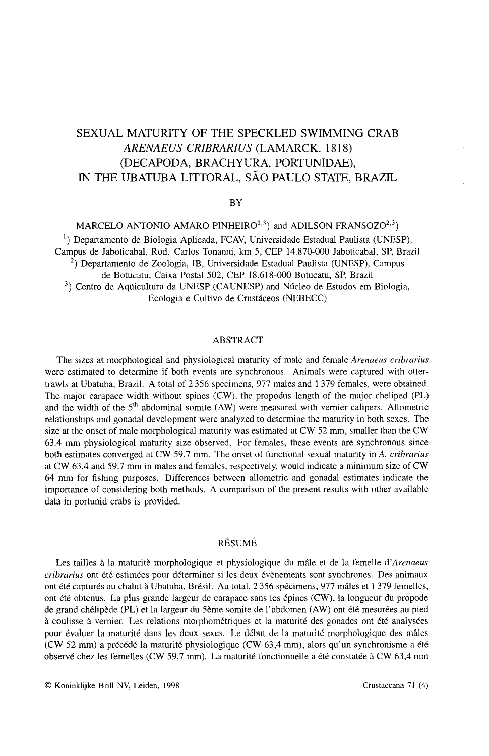# SEXUAL MATURITY OF THE SPECKLED SWIMMING CRAB *ARENAEUS CRIBRARIUS* (LAMARCK, 1818) (DECAPODA, BRACHYURA, PORTUNIDAE), IN THE UBATUBA LITTORAL, sAo PAULO STATE, BRAZIL

#### BY

MARCELO ANTONIO AMARO PINHEIRO<sup>1,3</sup>) and ADILSON FRANSOZO<sup>2,3</sup>)

1) Departamento de Biologia Aplicada, FCAV, Universidade Estadual Paulista (UNESP), Campus de laboticabal, Rod. Carlos Tonanni, km 5, CEP 14.870-000 laboticabal, SP, Brazil  $^{2}$ ) Departamento de Zoologia, IB, Universidade Estadual Paulista (UNESP), Campus de Botucatu, Caixa Postal 502, CEP 18.618-000 Botucatu, SP, Brazil <sup>3</sup>) Centro de Aquicultura da UNESP (CAUNESP) and Núcleo de Estudos em Biologia, Ecologia e Cultivo de Crustaceos (NEBECC)

#### ABSTRACT

The sizes at morphological and physiological maturity of male and female *Arenaeus cribrarius* were estimated to determine if both events are synchronous. Animals were captured with ottertrawls at Ubatuba, Brazil. A total of 2 356 specimens, 977 males and 1379 females, were obtained. The major carapace width without spines (CW), the propodus length of the major cheliped (PL) and the width of the  $5<sup>th</sup>$  abdominal somite (AW) were measured with vernier calipers. Allometric relationships and gonadal development were analyzed to determine the maturity in both sexes. The size at the onset of male morphological maturity was estimated at CW 52 mm, smaller than the CW 63.4 mm physiological maturity size observed. For females, these events are synchronous since both estimates converged at CW 59.7 mm. The onset of functional sexual maturity in A. *cribrarius* at CW 63.4 and 59.7 mm in males and females, respectively, would indicate a minimum size of CW 64 mm for fishing purposes. Differences between allometric and gonadal estimates indicate the importance of considering both methods. A comparison of the present results with other available data in portunid crabs is provided.

## RESUME

Les tailles à la maturitè morphologique et physiologique du mâle et de la femelle d'Arenaeus *cribrarius* ont ete estimees pour determiner si les deux evenements sont synchrones. Des animaux ont été capturés au chalut à Ubatuba, Brésil. Au total, 2356 spécimens, 977 mâles et 1379 femelles, ont ete obtenus. La plus grande largeur de carapace sans les epines (CW), la longueur du propode de grand chélipède (PL) et la largeur du 5ème somite de l'abdomen (AW) ont été mesurées au pied à coulisse à vernier. Les relations morphométriques et la maturité des gonades ont été analysées pour evaluer la maturite dans les deux sexes. Le debut de la maturite morphologique des males (CW 52 mm) a precede la maturite physiologique (CW 63,4 mm), alors qu'un synchronisme a ete observé chez les femelles (CW 59,7 mm). La maturité fonctionnelle a été constatée à CW 63,4 mm

© Koninklijke Brill NV, Leiden, 1998 Crustaceana 71 (4)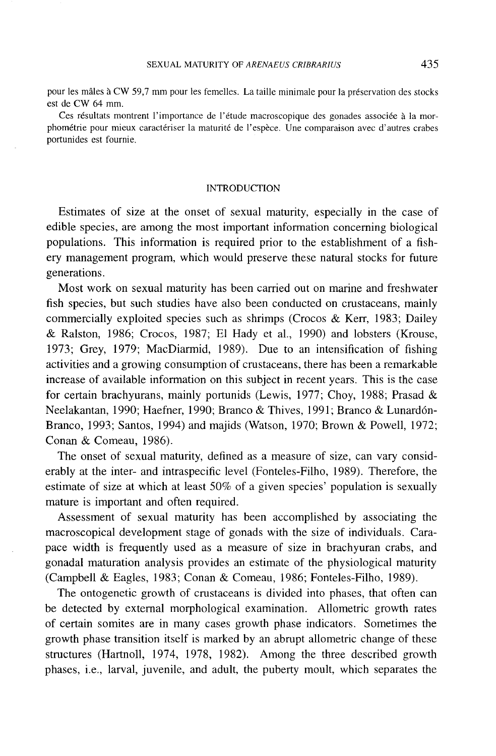pour les mâles à CW 59,7 mm pour les femelles. La taille minimale pour la préservation des stocks est de CW 64 mm.

Ces résultats montrent l'importance de l'étude macroscopique des gonades associée à la morphometrie pour mieux caracteriser la maturite de l'espece. Une comparaison avec d'autres crabes portunides est fournie.

#### INTRODUCTION

Estimates of size at the onset of sexual maturity, especially in the case of edible species, are among the most important information concerning biological populations. This information is required prior to the establishment of a fishery management program, which would preserve these natural stocks for future generations.

Most work on sexual maturity has been carried out on marine and freshwater fish species, but such studies have also been conducted on crustaceans, mainly commercially exploited species such as shrimps (Crocos & Kerr, 1983; Dailey & Ralston, 1986; Crocos, 1987; El Hady et aI., 1990) and lobsters (Krouse, 1973; Grey, 1979; MacDiarmid, 1989). Due to an intensification of fishing activities and a growing consumption of crustaceans, there has been a remarkable increase of available information on this subject in recent years. This is the case for certain brachyurans, mainly portunids (Lewis, 1977; Choy, 1988; Prasad & Neelakantan, 1990; Haefner, 1990; Branco & Thives, 1991; Branco & Lunard6n-Branco, 1993; Santos, 1994) and majids (Watson, 1970; Brown & Powell, 1972; Conan & Comeau, 1986).

The onset of sexual maturity, defined as a measure of size, can vary considerably at the inter- and intraspecific level (Fonteles-Filho, 1989). Therefore, the estimate of size at which at least 50% of a given species' population is sexually mature is important and often required.

Assessment of sexual maturity has been accomplished by associating the macroscopical development stage of gonads with the size of individuals. Carapace width is frequently used as a measure of size in brachyuran crabs, and gonadal maturation analysis provides an estimate of the physiological maturity (Campbell & Eagles, 1983; Conan & Comeau, 1986; Fonteles-Filho, 1989).

The ontogenetic growth of crustaceans is divided into phases, that often can be detected by external morphological examination. Allometric growth rates of certain somites are in many cases growth phase indicators. Sometimes the growth phase transition itself is marked by an abrupt allometric change of these structures (Hartnoll, 1974, 1978, 1982). Among the three described growth phases, i.e., larval, juvenile, and adult, the puberty moult, which separates the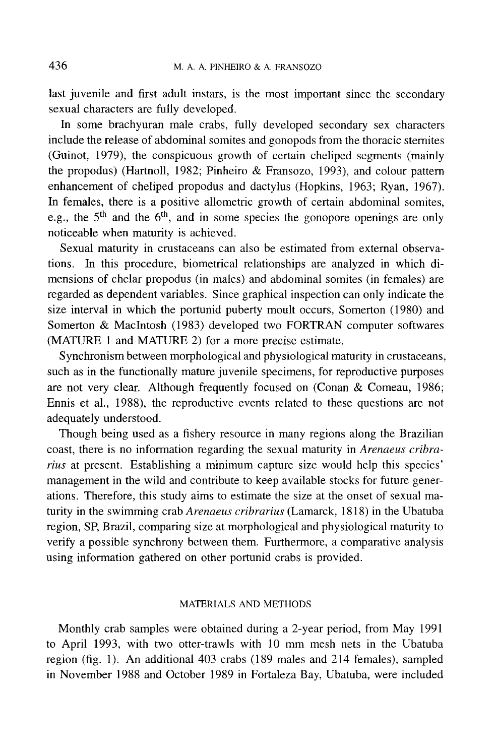last juvenile and first adult instars, is the most important since the secondary sexual characters are fully developed.

**In** some brachyuran male crabs, fully developed secondary sex characters include the release of abdominal somites and gonopods from the thoracic sternites (Guinot, 1979), the conspicuous growth of certain cheliped segments (mainly the propodus) (Hartnoll, 1982; Pinheiro & Fransozo, 1993), and colour pattern enhancement of cheliped propodus and dactylus (Hopkins, 1963; Ryan, 1967). **In** females, there is a positive allometric growth of certain abdominal somites, e.g., the  $5<sup>th</sup>$  and the  $6<sup>th</sup>$ , and in some species the gonopore openings are only noticeable when maturity is achieved.

Sexual maturity in crustaceans can also be estimated from external observations. **In** this procedure, biometrical relationships are analyzed in which dimensions of chelar propodus (in males) and abdominal somites (in females) are regarded as dependent variables. Since graphical inspection can only indicate the size interval in which the portunid puberty moult occurs, Somerton (1980) and Somerton & MacIntosh (1983) developed two FORTRAN computer softwares (MATURE 1 and MATURE 2) for a more precise estimate.

Synchronism between morphological and physiological maturity in crustaceans, such as in the functionally mature juvenile specimens, for reproductive purposes are not very clear. Although frequently focused on (Conan & Comeau, 1986; Ennis et aI., 1988), the reproductive events related to these questions are not adequately understood.

Though being used as a fishery resource in many regions along the Brazilian coast, there is no information regarding the sexual maturity in *Arenaeus cribrarius* at present. Establishing a minimum capture size would help this species' management in the wild and contribute to keep available stocks for future generations. Therefore, this study aims to estimate the size at the onset of sexual maturity in the swimming crab *Arenaeus cribrarius* (Lamarck, 1818) in the Ubatuba region, SP, Brazil, comparing size at morphological and physiological maturity to verify a possible synchrony between them. Furthermore, a comparative analysis using information gathered on other portunid crabs is provided.

# MATERIALS AND METHODS

Monthly crab samples were obtained during a 2-year period, from May 1991 to April 1993, with two otter-trawls with 10 mm mesh nets in the Ubatuba region (fig. 1). An additional 403 crabs (189 males and 214 females), sampled in November 1988 and October 1989 in Fortaleza Bay, Ubatuba, were included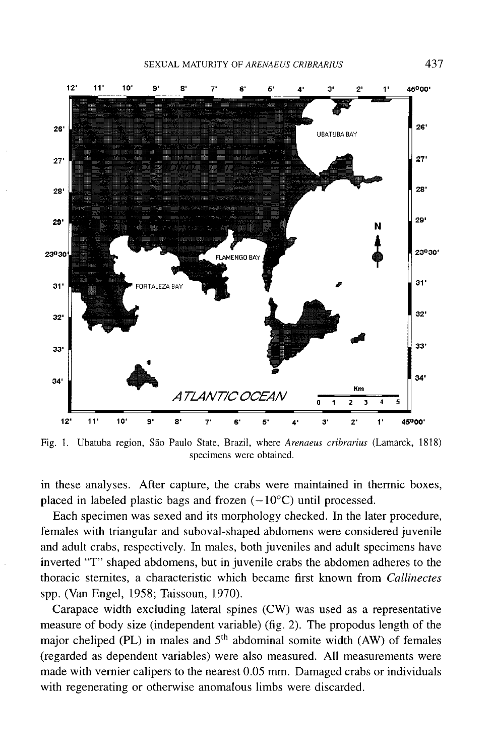

Fig. I. Ubatuba region, Sao Paulo State, Brazil, where *Arenaeus cribrarius* (Lamarck, 1818) specimens were obtained.

in these analyses. After capture, the crabs were maintained in thermic boxes, placed in labeled plastic bags and frozen  $(-10^{\circ}C)$  until processed.

Each specimen was sexed and its morphology checked. In the later procedure, females with triangular and suboval-shaped abdomens were considered juvenile and adult crabs, respectively. In males, both juveniles and adult specimens have inverted "T" shaped abdomens, but in juvenile crabs the abdomen adheres to the thoracic sternites, a characteristic which became first known from *Callinectes* spp. (Van Engel, 1958; Taissoun, 1970).

Carapace width excluding lateral spines (CW) was used as a representative measure of body size (independent variable) (fig. 2). The propodus length of the major cheliped (PL) in males and  $5<sup>th</sup>$  abdominal somite width (AW) of females (regarded as dependent variables) were also measured. All measurements were made with vernier calipers to the nearest 0.05 mm. Damaged crabs or individuals with regenerating or otherwise anomalous limbs were discarded.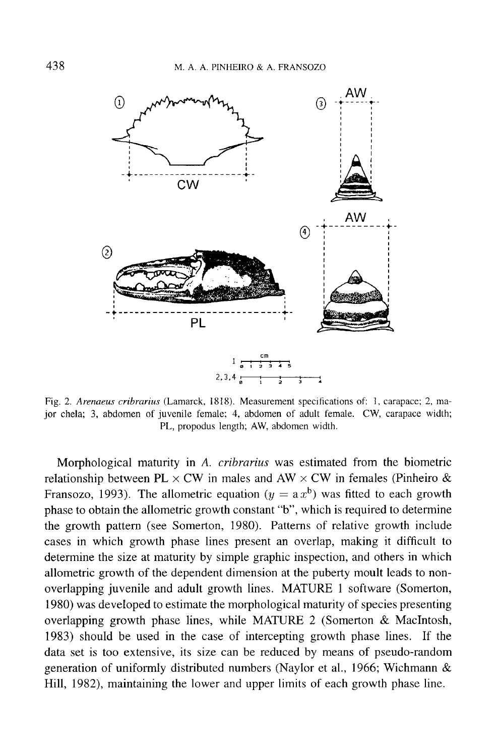

Fig. 2. *Arenaeus cribrarius* (Lamarck, 1818). Measurement specifications of: 1, carapace; 2, major chela; 3, abdomen of juvenile female; 4, abdomen of adult female. CW, carapace width; PL, propodus length; AW, abdomen width.

Morphological maturity in A. *cribrarius* was estimated from the biometric relationship between  $PL \times CW$  in males and  $AW \times CW$  in females (Pinheiro & Fransozo, 1993). The allometric equation ( $y = a x^b$ ) was fitted to each growth phase to obtain the allometric growth constant "b", which is required to determine the growth pattern (see Somerton, 1980). Patterns of relative growth include cases in which growth phase lines present an overlap, making it difficult to determine the size at maturity by simple graphic inspection, and others in which allometric growth of the dependent dimension at the puberty moult leads to nonoverlapping juvenile and adult growth lines. MATURE 1 software (Somerton, 1980) was developed to estimate the morphological maturity of species presenting overlapping growth phase lines, while MATURE 2 (Somerton & MacIntosh, 1983) should be used in the case of intercepting growth phase lines. If the data set is too extensive, its size can be reduced by means of pseudo-random generation of uniformly distributed numbers (Naylor et aI., 1966; Wichmann & Hill, 1982), maintaining the lower and upper limits of each growth phase line.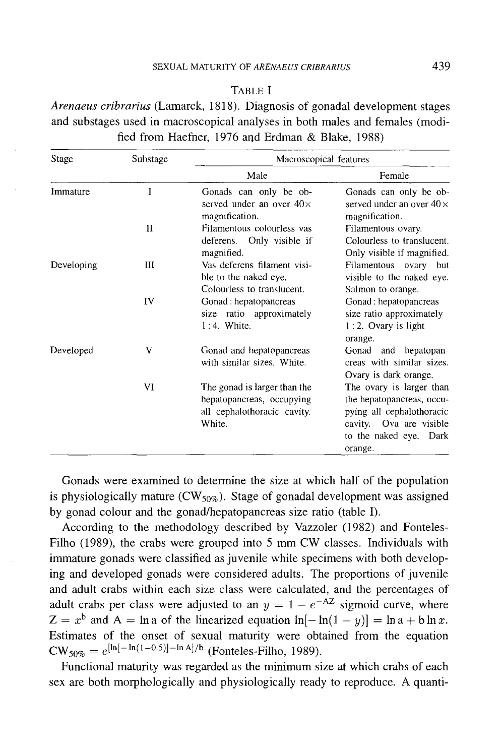## SEXUAL MATURITY OF *ARENAEUS CRIBRARIUS* 439

TABLE I

*Arenaeus cribrarius* (Lamarck, 1818). Diagnosis of gonadal development stages and substages used in macroscopical analyses in both males and females (modified from Haefner, 1976 and Erdman & Blake, 1988)

| Stage      | Substage | Macroscopical features                                                                             |                                                                                                                                                    |  |
|------------|----------|----------------------------------------------------------------------------------------------------|----------------------------------------------------------------------------------------------------------------------------------------------------|--|
|            |          | Male                                                                                               | Female                                                                                                                                             |  |
| Immature   | I        | Gonads can only be ob-<br>served under an over $40\times$<br>magnification.                        | Gonads can only be ob-<br>served under an over $40\times$<br>magnification.                                                                        |  |
|            | п        | Filamentous colourless vas<br>deferens. Only visible if<br>magnified.                              | Filamentous ovary.<br>Colourless to translucent.<br>Only visible if magnified.                                                                     |  |
| Developing | Ш        | Vas deferens filament visi-<br>ble to the naked eye.<br>Colourless to translucent.                 | Filamentous ovary<br>but<br>visible to the naked eye.<br>Salmon to orange.                                                                         |  |
|            | IV       | Gonad : hepatopancreas<br>size ratio approximately<br>$1:4.$ White.                                | Gonad : hepatopancreas<br>size ratio approximately<br>1:2. Ovary is light<br>orange.                                                               |  |
| Developed  | V        | Gonad and hepatopancreas<br>with similar sizes. White.                                             | Gonad and hepatopan-<br>creas with similar sizes.<br>Ovary is dark orange.                                                                         |  |
|            | VI       | The gonad is larger than the<br>hepatopancreas, occupying<br>all cephalothoracic cavity.<br>White. | The ovary is larger than<br>the hepatopancreas, occu-<br>pying all cephalothoracic<br>cavity. Ova are visible<br>to the naked eye. Dark<br>orange. |  |

Gonads were examined to determine the size at which half of the population is physiologically mature ( $CW_{50\%}$ ). Stage of gonadal development was assigned by gonad colour and the gonad/hepatopancreas size ratio (table I).

According to the methodology described by Vazzoler (1982) and Fonteles-Filho (1989), the crabs were grouped into 5 mm CW classes. Individuals with immature gonads were classified as juvenile while specimens with both developing and developed gonads were considered adults. The proportions of juvenile and adult crabs within each size class were calculated, and the percentages of adult crabs per class were adjusted to an  $y = 1 - e^{-AZ}$  sigmoid curve, where  $Z = x^{b}$  and  $A = \ln a$  of the linearized equation  $\ln[-\ln(1-y)] = \ln a + b \ln x$ . Estimates of the onset of sexual maturity were obtained from the equation  $CW_{50\%} = e^{[\ln[-\ln(1-0.5)] - \ln A]/b}$  (Fonteles-Filho, 1989).

Functional maturity was regarded as the minimum size at which crabs of each sex are both morphologically and physiologically ready to reproduce. A quanti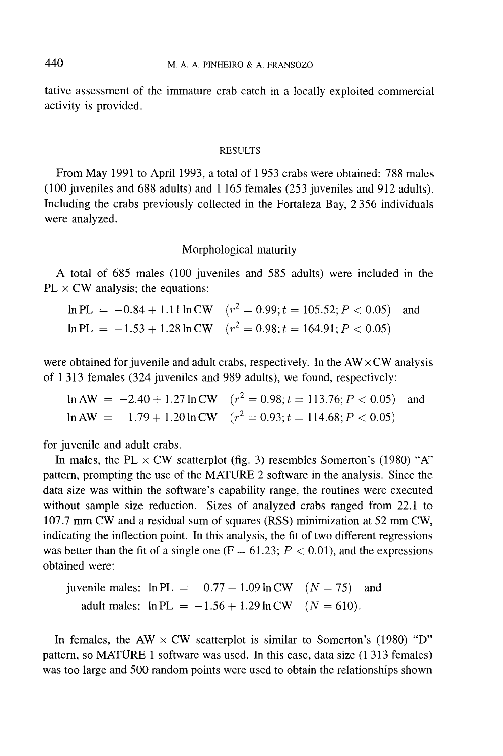tative assessment of the immature crab catch in a locally exploited commercial activity is provided.

### RESULTS

From May 1991 to April 1993, a total of 1 953 crabs were obtained: 788 males (100 juveniles and 688 adults) and 1165 females (253 juveniles and 912 adults). Including the crabs previously collected in the Fortaleza Bay, 2356 individuals were analyzed.

# Morphological maturity

A total of 685 males (100 juveniles and 585 adults) were included in the  $PL \times CW$  analysis; the equations:

 $\ln PL = -0.84 + 1.11 \ln CW$   $(r^2 = 0.99; t = 105.52; P < 0.05)$  and  $ln PL = -1.53 + 1.28 ln CW$   $(r^2 = 0.98; t = 164.91; P < 0.05)$ 

were obtained for juvenile and adult crabs, respectively. In the  $AW \times CW$  analysis of 1313 females (324 juveniles and 989 adults), we found, respectively:

 $\ln AW = -2.40 + 1.27 \ln CW$   $(r^2 = 0.98; t = 113.76; P < 0.05)$  and  $\ln$  AW = -1.79 + 1.20  $\ln$  CW  $(r^2 = 0.93; t = 114.68; P < 0.05)$ 

for juvenile and adult crabs.

In males, the PL  $\times$  CW scatterplot (fig. 3) resembles Somerton's (1980) "A" pattern, prompting the use of the MATURE 2 software in the analysis. Since the data size was within the software's capability range, the routines were executed without sample size reduction. Sizes of analyzed crabs ranged from 22.1 to 107.7 mm CW and a residual sum of squares (RSS) minimization at 52 mm CW, indicating the inflection point. In this analysis, the fit of two different regressions was better than the fit of a single one  $(F = 61.23; P < 0.01)$ , and the expressions obtained were:

juvenile males:  $\ln PL = -0.77 + 1.09 \ln CW$   $(N = 75)$  and adult males:  $\ln PL = -1.56 + 1.29 \ln CW$  ( $N = 610$ ).

In females, the AW  $\times$  CW scatterplot is similar to Somerton's (1980) "D" pattern, so MATURE 1 software was used. In this case, data size (1313 females) was too large and 500 random points were used to obtain the relationships shown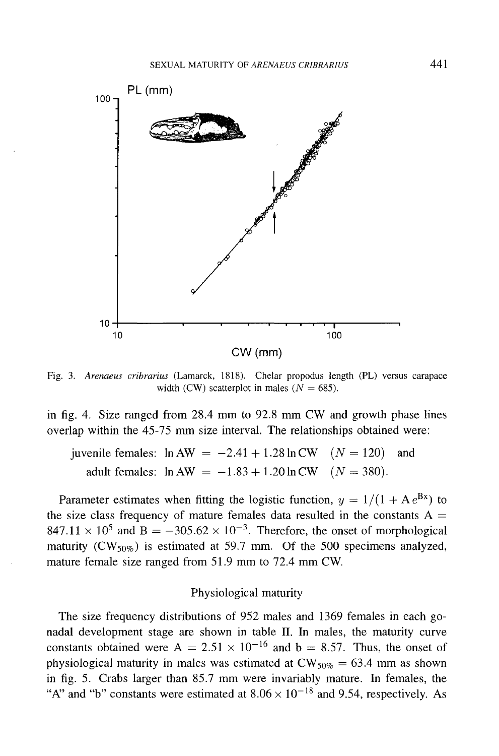

Fig. 3. *Arenaeus cribrarius* (Lamarck, 1818). Chelar propodus length (PL) versus carapace width (CW) scatterplot in males ( $N = 685$ ).

in fig. 4. Size ranged from 28.4 mm to 92.8 mm CW and growth phase lines overlap within the 45-75 mm size interval. The relationships obtained were:

juvenile females:  $\ln AW = -2.41 + 1.28 \ln CW$   $(N = 120)$  and adult females:  $\ln AW = -1.83 + 1.20 \ln CW$   $(N = 380)$ .

Parameter estimates when fitting the logistic function,  $y = 1/(1 + Ae^{Bx})$  to the size class frequency of mature females data resulted in the constants  $A =$ 847.11  $\times$  10<sup>5</sup> and B = -305.62  $\times$  10<sup>-3</sup>. Therefore, the onset of morphological maturity  $(CW_{50\%})$  is estimated at 59.7 mm. Of the 500 specimens analyzed, mature female size ranged from  $51.9$  mm to  $72.4$  mm CW.

# Physiological maturity

The size frequency distributions of 952 males and 1369 females in each gonadal development stage are shown in table II. In males, the maturity curve constants obtained were A =  $2.51 \times 10^{-16}$  and b = 8.57. Thus, the onset of physiological maturity in males was estimated at  $CW_{50\%} = 63.4$  mm as shown in fig. 5. Crabs larger than 85.7 mm were invariably mature. In females, the "A" and "b" constants were estimated at  $8.06 \times 10^{-18}$  and 9.54, respectively. As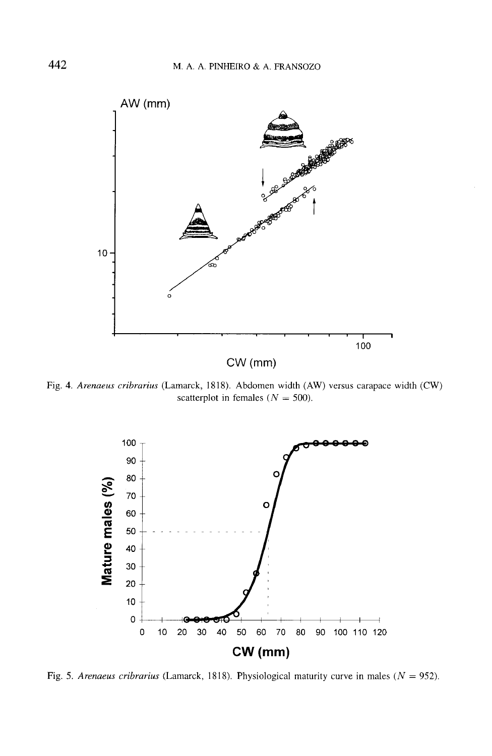

Fig. 4. *Arenaeus cribrarius* (Lamarck, 1818). Abdomen width (AW) versus carapace width (CW) scatterplot in females ( $N = 500$ ).



Fig. 5. *Arenaeus cribrarius* (Lamarck, 1818). Physiological maturity curve in males *(N* = 952).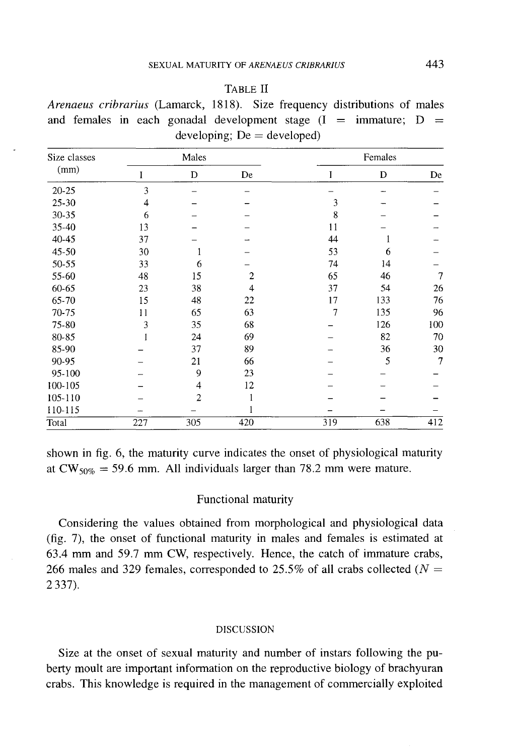| ٠ |
|---|
|---|

*Arenaeus cribrarius* (Lamarck, 1818). Size frequency distributions of males and females in each gonadal development stage  $(I = immature; D =$  $developing; De = developed)$ 

| Size classes<br>(mm) |     | Males          |                |     | Females |                |  |  |
|----------------------|-----|----------------|----------------|-----|---------|----------------|--|--|
|                      |     | D              | De             | I   | D       | De             |  |  |
| $20 - 25$            | 3   |                |                |     |         |                |  |  |
| 25-30                | 4   |                |                | 3   |         |                |  |  |
| 30-35                | 6   |                |                | 8   |         |                |  |  |
| 35-40                | 13  |                |                | 11  |         |                |  |  |
| 40-45                | 37  |                |                | 44  |         |                |  |  |
| $45 - 50$            | 30  | 1              |                | 53  | 6       |                |  |  |
| 50-55                | 33  | 6              |                | 74  | 14      |                |  |  |
| 55-60                | 48  | 15             | $\overline{2}$ | 65  | 46      | 7              |  |  |
| 60-65                | 23  | 38             | $\overline{4}$ | 37  | 54      | 26             |  |  |
| 65-70                | 15  | 48             | 22             | 17  | 133     | 76             |  |  |
| 70-75                | 11  | 65             | 63             | 7   | 135     | 96             |  |  |
| 75-80                | 3   | 35             | 68             |     | 126     | 100            |  |  |
| 80-85                |     | 24             | 69             |     | 82      | 70             |  |  |
| 85-90                |     | 37             | 89             |     | 36      | 30             |  |  |
| 90-95                |     | 21             | 66             |     | 5       | $\overline{7}$ |  |  |
| 95-100               |     | 9              | 23             |     |         |                |  |  |
| 100-105              |     | 4              | 12             |     |         |                |  |  |
| 105-110              |     | $\overline{2}$ |                |     |         |                |  |  |
| 110-115              |     |                |                |     |         |                |  |  |
| Total                | 227 | 305            | 420            | 319 | 638     | 412            |  |  |

shown in fig. 6, the maturity curve indicates the onset of physiological maturity at  $CW_{50\%} = 59.6$  mm. All individuals larger than 78.2 mm were mature.

### Functional maturity

Considering the values obtained from morphological and physiological data (fig. 7), the onset of functional maturity in males and females is estimated at 63.4 mm and 59.7 mm CW, respectively. Hence, the catch of immature crabs, 266 males and 329 females, corresponded to 25.5% of all crabs collected (N *=* 2337).

## DISCUSSION

Size at the onset of sexual maturity and number of instars following the puberty moult are important information on the reproductive biology of brachyuran crabs. This knowledge is required in the management of commercially exploited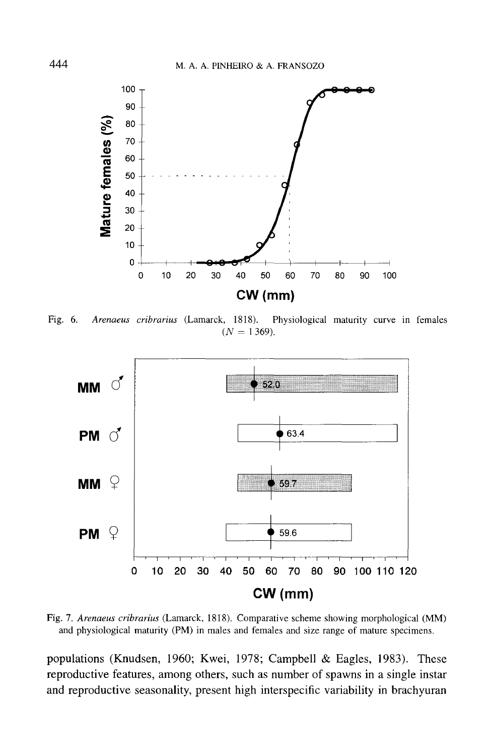

Fig. 6. *Arenaeus cribrarius* (Lamarck, 1818). Physiological maturity curve in females  $(N = 1369)$ .



Fig. 7. *Arenaeus cribrarius* (Lamarck, 1818). Comparative scheme showing morphological (MM) and physiological maturity (PM) in males and females and size range of mature specimens.

populations (Knudsen, 1960; Kwei, 1978; Campbell & Eagles, 1983). These reproductive features, among others, such as number of spawns in a single instar and reproductive seasonality, present high interspecific variability in brachyuran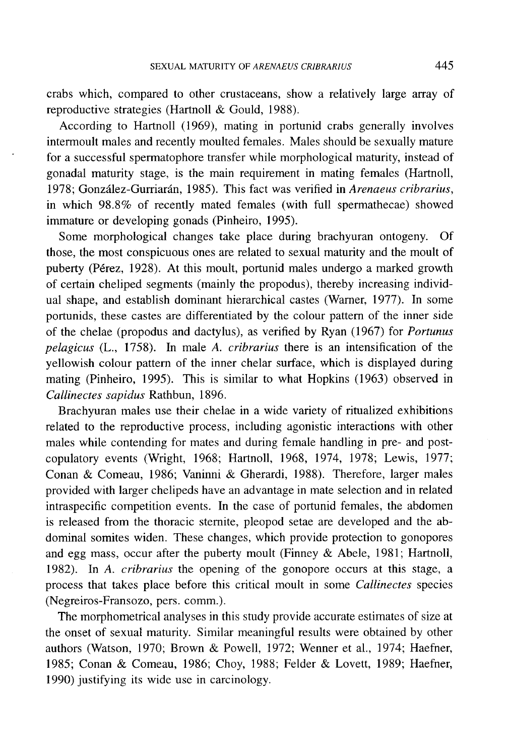crabs which, compared to other crustaceans, show a relatively large array of reproductive strategies (Hartnoll & Gould, 1988).

According to Hartnoll (1969), mating in portunid crabs generally involves intermoult males and recently moulted females. Males should be sexually mature for a successful spermatophore transfer while morphological maturity, instead of gonadal maturity stage, is the main requirement in mating females (Hartnoll, 1978; Gonzalez-Gurrianin, 1985). This fact was verified in *Arenaeus cribrarius,* in which 98.8% of recently mated females (with full spermathecae) showed immature or developing gonads (Pinheiro, 1995).

Some morphological changes take place during brachyuran ontogeny. Of those, the most conspicuous ones are related to sexual maturity and the moult of puberty (Pérez, 1928). At this moult, portunid males undergo a marked growth of certain cheliped segments (mainly the propodus), thereby increasing individual shape, and establish dominant hierarchical castes (Warner, 1977). **In** some portunids, these castes are differentiated by the colour pattern of the inner side of the chelae (propodus and dactylus), as verified by Ryan (1967) for *Portunus pelagicus* (L., 1758). **In** male A. *cribrarius* there is an intensification of the yellowish colour pattern of the inner chelar surface, which is displayed during mating (Pinheiro, 1995). This is similar to what Hopkins (1963) observed in *Callinectes sapidus* Rathbun, 1896.

Brachyuran males use their chelae in a wide variety of ritualized exhibitions related to the reproductive process, including agonistic interactions with other males while contending for mates and during female handling in pre- and postcopulatory events (Wright, 1968; Hartnoll, 1968, 1974, 1978; Lewis, 1977; Conan & Comeau, 1986; Vaninni & Gherardi, 1988). Therefore, larger males provided with larger chelipeds have an advantage in mate selection and in related intraspecific competition events. **In** the case of portunid females, the abdomen is released from the thoracic sternite, pleopod setae are developed and the abdominal somites widen. These changes, which provide protection to gonopores and egg mass, occur after the puberty moult (Finney & Abele, 1981; Hartnoll, 1982). **In** A. *cribrarius* the opening of the gonopore occurs at this stage, a process that takes place before this critical moult in some *Callinectes* species (Negreiros-Fransozo, pers. comm.).

The morphometrical analyses in this study provide accurate estimates of size at the onset of sexual maturity. Similar meaningful results were obtained by other authors (Watson, 1970; Brown & Powell, 1972; Wenner et aI., 1974; Haefner, 1985; Conan & Comeau, 1986; Choy, 1988; Felder & Lovett, 1989; Haefner, 1990) justifying its wide use in carcinology.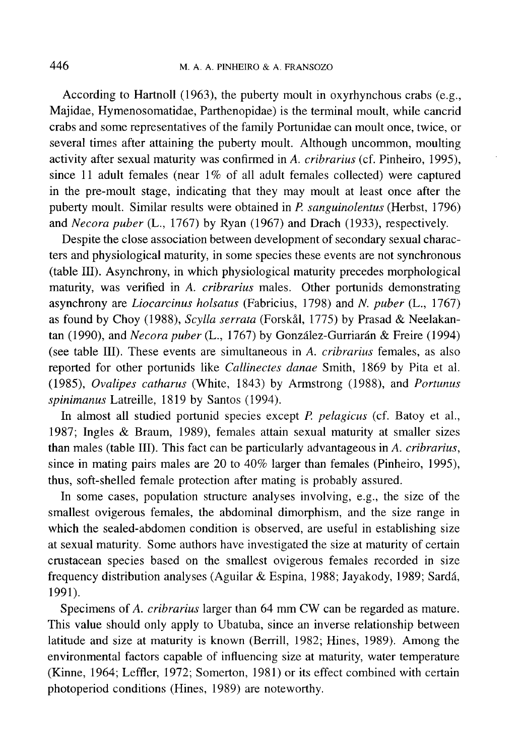According to Hartnoll (1963), the puberty moult in oxyrhynchous crabs (e.g., Majidae, Hymenosomatidae, Parthenopidae) is the terminal moult, while cancrid crabs and some representatives of the family Portunidae can moult once, twice, or several times after attaining the puberty moult. Although uncommon, moulting activity after sexual maturity was confirmed in A. *cribrarius* (cf. Pinheiro, 1995), since 11 adult females (near 1% of all adult females collected) were captured in the pre-moult stage, indicating that they may moult at least once after the puberty moult. Similar results were obtained in *P. sanguinolentus* (Herbst, 1796) and *Necora puber* (L., 1767) by Ryan (1967) and Drach (1933), respectively.

Despite the close association between development of secondary sexual characters and physiological maturity, in some species these events are not synchronous (table III). Asynchrony, in which physiological maturity precedes morphological maturity, was verified in *A. cribrarius* males. Other portunids demonstrating asynchrony are *Liocarcinus holsatus* (Fabricius, 1798) and N. *puber* (L., 1767) as found by Choy (1988), *Scylla serrata* (Forskål, 1775) by Prasad & Neelakantan (1990), and *Necora puber* (L., 1767) by González-Gurriarán & Freire (1994) (see table III). These events are simultaneous in *A. cribrarius* females, as also reported for other portunids like *Callinectes danae* Smith, 1869 by Pita et aI. *(1985), Ovalipes catharus* (White, 1843) by Armstrong (1988), and *Portunus spinimanus* Latreille, 1819 by Santos (1994).

In almost all studied portunid species except *P. pelagicus* (cf. Batoy et aI., 1987; Ingles & Braum, 1989), females attain sexual maturity at smaller sizes than males (table III). This fact can be particularly advantageous in *A. cribrarius,* since in mating pairs males are 20 to 40% larger than females (Pinheiro, 1995), thus, soft-shelled female protection after mating is probably assured.

In some cases, population structure analyses involving, e.g., the size of the smallest ovigerous females, the abdominal dimorphism, and the size range in which the sealed-abdomen condition is observed, are useful in establishing size at sexual maturity. Some authors have investigated the size at maturity of certain crustacean species based on the smallest ovigerous females recorded in size frequency distribution analyses (Aguilar & Espina, 1988; Jayakody, 1989; Sarda, 1991).

Specimens of *A. cribrarius* larger than 64 mm CW can be regarded as mature. This value should only apply to Ubatuba, since an inverse relationship between latitude and size at maturity is known (Berrill, 1982; Hines, 1989). Among the environmental factors capable of influencing size at maturity, water temperature (Kinne, 1964; Leffler, 1972; Somerton, 1981) or its effect combined with certain photoperiod conditions (Hines, 1989) are noteworthy.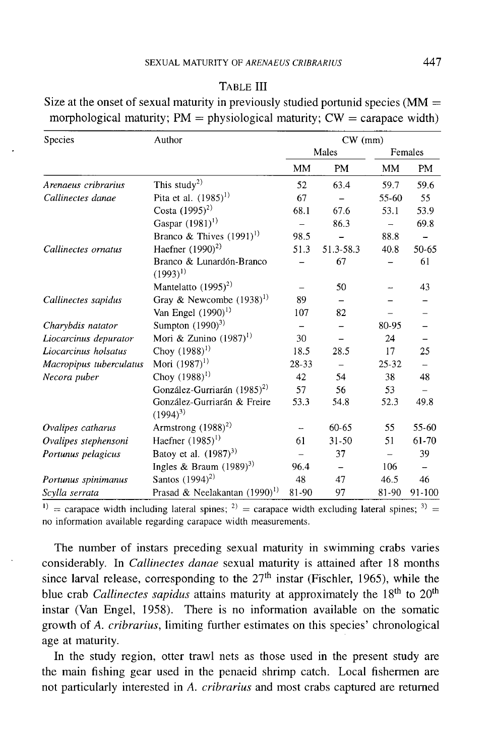| Species                                                     | Author                                    | $CW$ (mm) |           |           |        |
|-------------------------------------------------------------|-------------------------------------------|-----------|-----------|-----------|--------|
|                                                             |                                           | Males     |           | Females   |        |
|                                                             |                                           | MМ        | PM        | MM        | PM     |
| Arenaeus cribrarius                                         | This study <sup>2)</sup>                  | 52        | 63.4      | 59.7      | 59.6   |
| Callinectes danae                                           | Pita et al. $(1985)^{1}$                  | 67        |           | 55-60     | 55     |
|                                                             | Costa $(1995)^{2}$                        | 68.1      | 67.6      | 53.1      | 53.9   |
|                                                             | Gaspar $(1981)^{1}$                       |           | 86.3      |           | 69.8   |
|                                                             | Branco & Thives $(1991)^{1}$              | 98.5      |           | 88.8      |        |
| Callinectes ornatus                                         | Haefner $(1990)^2$                        | 51.3      | 51.3-58.3 | 40.8      | 50-65  |
|                                                             | Branco & Lunardón-Branco<br>$(1993)^{1}$  |           | 67        |           | 61     |
|                                                             | Mantelatto $(1995)^2$                     |           | 50        |           | 43     |
| Callinectes sapidus                                         | Gray & Newcombe $(1938)^{1}$              | 89        |           |           |        |
|                                                             | Van Engel $(1990)^{1}$                    | 107       | 82        |           |        |
| Charybdis natator                                           | Sumpton $(1990)^3$                        |           |           | 80-95     |        |
| Liocarcinus depurator                                       | Mori & Zunino $(1987)^{1}$                | 30        |           | 24        |        |
| Liocarcinus holsatus                                        | Choy $(1988)^{1}$                         | 18.5      | 28.5      | 17        | 25     |
| Macropipus tuberculatus                                     | Mori $(1987)^{1}$                         | 28-33     |           | $25 - 32$ |        |
| Necora puber                                                | Choy $(1988)^{1}$                         | 42        | 54        | 38        | 48     |
|                                                             | González-Gurriarán (1985) <sup>2)</sup>   | 57        | 56        | 53        |        |
|                                                             | González-Gurriarán & Freire<br>$(1994)^3$ | 53.3      | 54.8      | 52.3      | 49.8   |
| Ovalipes catharus                                           | Armstrong $(1988)^2$                      |           | $60 - 65$ | 55        | 55-60  |
| Ovalipes stephensoni                                        | Haefner $(1985)^{1}$                      | 61        | 31-50     | 51        | 61-70  |
| Portunus pelagicus                                          | Batoy et al. $(1987)^{3}$                 |           | 37        |           | 39     |
|                                                             | Ingles & Braum $(1989)^3$                 | 96.4      |           | 106       |        |
| Portunus spinimanus                                         | Santos $(1994)^{2}$                       | 48        | 47        | 46.5      | 46     |
| Prasad & Neelakantan (1990) <sup>1)</sup><br>Scylla serrata |                                           | 81-90     | 97        | 81-90     | 91-100 |

Size at the onset of sexual maturity in previously studied portunid species ( $MM =$ morphological maturity;  $PM =$  physiological maturity;  $CW =$  carapace width)

<sup>1)</sup> = carapace width including lateral spines; <sup>2)</sup> = carapace width excluding lateral spines; <sup>3)</sup> = no information available regarding carapace width measurements.

The number of instars preceding sexual maturity in swimming crabs varies considerably. In *Callinectes danae* sexual maturity is attained after 18 months since larval release, corresponding to the  $27<sup>th</sup>$  instar (Fischler, 1965), while the blue crab *Callinectes sapidus* attains maturity at approximately the 18<sup>th</sup> to 20<sup>th</sup> instar (Van Engel, 1958). There is no information available on the somatic growth of *A. cribrarius,* limiting further estimates on this species' chronological age at maturity.

In the study region, otter trawl nets as those used in the present study are the main fishing gear used in the penaeid shrimp catch. Local fishermen are not particularly interested in *A. cribrarius* and most crabs captured are returned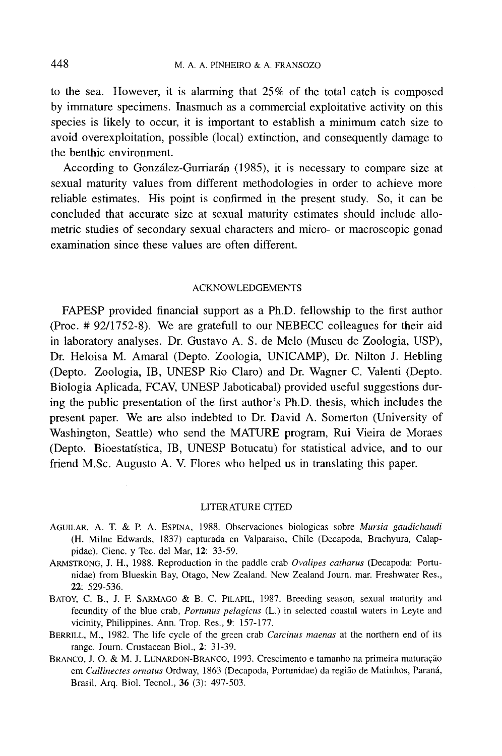to the sea. However, it is alarming that 25% of the total catch is composed by immature specimens. Inasmuch as a commercial exploitative activity on this species is likely to occur, it is important to establish a minimum catch size to avoid overexploitation, possible (local) extinction, and consequently damage to the benthic environment.

According to González-Gurriarán (1985), it is necessary to compare size at sexual maturity values from different methodologies in order to achieve more reliable estimates. His point is confirmed in the present study. So, it can be concluded that accurate size at sexual maturity estimates should include allometric studies of secondary sexual characters and micro- or macroscopic gonad examination since these values are often different.

#### ACKNOWLEDGEMENTS

FAPESP provided financial support as a Ph.D. fellowship to the first author (Proc. # 92/1752-8). We are gratefull to our NEBECC colleagues for their aid in laboratory analyses. Dr. Gustavo A. S. de Melo (Museu de Zoologia, USP), Dr. Heloisa M. Amaral (Depto. Zoologia, UNICAMP), Dr. Nilton J. Hebling (Depto. Zoologia, IB, UNESP Rio Claro) and Dr. Wagner C. Valenti (Depto. Biologia Aplicada, FCAV, UNESP Jaboticabal) provided useful suggestions during the public presentation of the first author's Ph.D. thesis, which includes the present paper. We are also indebted to Dr. David A. Somerton (University of Washington, Seattle) who send the MATURE program, Rui Vieira de Moraes (Depto. Bioestatfstica, IB, UNESP Botucatu) for statistical advice, and to our friend M.Sc. Augusto A. V. Flores who helped us in translating this paper.

#### LITERATURE CITED

- AGUILAR, A. T. & P. A. ESPINA, 1988. Observaciones biologicas sobre *Mursia gaudichaudi* (H. Milne Edwards, 1837) capturada en Valparaiso, Chile (Decapoda, Brachyura, Calappidae). Cienc. y Tee. del Mar, 12: 33-59.
- ARMSTRONG, J. H., 1988. Reproduction in the paddle crab *Ovalipes catharus* (Decapoda: Portunidae) from Blueskin Bay, Otago, New Zealand. New Zealand Journ. mar. Freshwater Res., 22: 529-536.
- BATOY, C. B., J. F. SARMAGO & B. C. PILAPIL, 1987. Breeding season, sexual maturity and fecundity of the blue crab, *Portunus pelagicus* (L.) in selected coastal waters in Leyte and vicinity, Philippines. Ann. Trop. Res., 9: 157-177.
- BERRILL, M., 1982. The life cycle of the green crab *Carcinus maenas* at the northern end of its range. Journ. Crustacean BioI., 2: 31-39.
- BRANCO, J. O. & M. J. LUNARDON-BRANCO, 1993. Crescimento e tamanho na primeira maturação em *Callinectes ornatus* Ordway, 1863 (Decapoda, Portunidae) da regiao de Matinhos, Parana, Brasil. Arg. BioI. Tecnol., 36 (3): 497-503.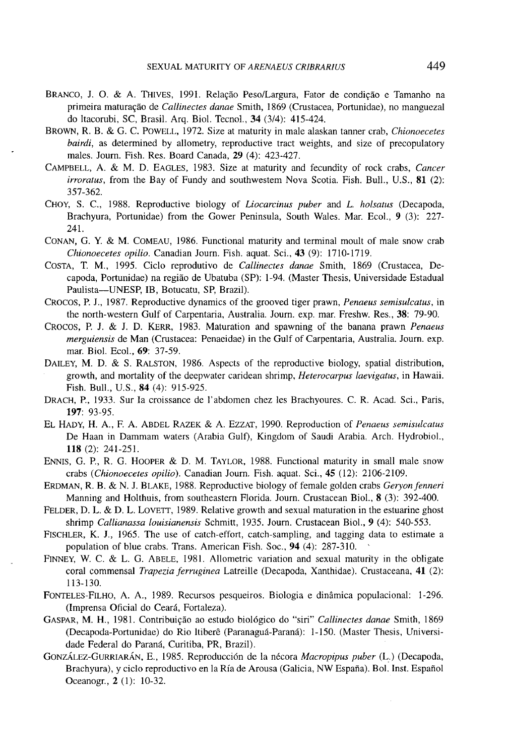- BRANCO, J. O. & A. THIVES, 1991. Relação Peso/Largura, Fator de condição e Tamanho na primeira matura~ao de *Callinectes danae* Smith, 1869 (Crustacea, Portunidae), no manguezal do ltacorubi, SC, Brasil. Arq. BioI. Tecnol., **34** (3/4): 415-424.
- BROWN, R. B. & G. C. POWELL, 1972. Size at maturity in male alaskan tanner crab, *Chionoecetes bairdi,* as determined by allometry, reproductive tract weights, and size of precopulatory males. Journ. Fish. Res. Board Canada, **29** (4): 423-427.
- CAMPBELL, A. & M. D. EAGLES, 1983. Size at maturity and fecundity of rock crabs, *Cancer irroratus,* from the Bay of Fundy and southwestem Nova Scotia. Fish. Bull., U.S., 81 (2): 357-362.
- CHOY, S. c., 1988. Reproductive biology of *Liocarcinus puber* and L. *holsatus* (Decapoda, Brachyura, Portunidae) from the Gower Peninsula, South Wales. Mar. Ecol., 9 (3): 227- 241.
- CONAN, G. Y. & M. COMEAU, 1986. Functional maturity and terminal moult of male snow crab *Chionoecetes opilio.* Canadian Journ. Fish. aquat. Sci., **43** (9): 1710-1719.
- COSTA, T. M., 1995. Cicio reprodutivo de *Callinectes danae* Smith, 1869 (Crustacea, Decapoda, Portunidae) na regiao de Ubatuba (SP): 1-94. (Master Thesis, Universidade Estadual Paulista-UNESP, IB, Botucatu, SP, Brazil).
- CROCOS, P. J., 1987. Reproductive dynamics of the grooved tiger prawn, *Penaeus semisulcatus,* in the north-western Gulf of Carpentaria, Australia. Journ. exp. mar. Freshw. Res., 38: 79-90.
- CROCOS, P. J. & J. D. KERR, 1983. Maturation and spawning of the banana prawn *Penaeus merguiensis* de Man (Crustacea: Penaeidae) in the Gulf of Carpentaria, Australia. Journ. exp. mar. BioI. Ecol., 69: 37-59.
- DAILEY, M. D. & S. RALSTON, 1986. Aspects of the reproductive biology, spatial distribution, growth, and mortality of the deepwater caridean shrimp, *Heterocarpus laevigatus,* in Hawaii. Fish. Bull., U.S., **84** (4): 915-925.
- DRACH, P., 1933. Sur Ia croissance de l'abdomen chez les Brachyoures. C. R. Acad. Sci., Paris, 197: 93-95.
- EL HADY, H. A., F. A. ABDEL RAZEK & A. EZZAT, 1990. Reproduction of *Penaeus semisulcatus* De Haan in Dammam waters (Arabia Gulf), Kingdom of Saudi Arabia. Arch. Hydrobiol., **118** (2): 241-251.
- ENNIS, G. P., R. G. HOOPER & D. M. TAYLOR, 1988. Functional maturity in small male snow crabs *(Chionoecetes opilio).* Canadian Journ. Fish. aquat. Sci., **45** (12): 2106-2109.
- ERDMAN, R. B. & N. J. BLAKE, 1988. Reproductive biology of female golden crabs *Geryon fenneri* Manning and Holthuis, from southeastern Florida. Journ. Crustacean BioI., 8 (3): 392-400.
- FELDER, D. L. & D. L. LOVETT, 1989. Relative growth and sexual maturation in the estuarine ghost shrimp *Callianassa louisianensis* Schmitt, 1935. Journ. Crustacean BioI., 9 (4): 540-553.
- FISCHLER, K. J., 1965. The use of catch-effort, catch-sampling, and tagging data to estimate a population of blue crabs. Trans. American Fish. Soc., **94** (4): 287-310.
- FINNEY, W. C. & L. G. ABELE, 1981. Allometric variation and sexual maturity in the obligate coral commensal *Trapezia ferruginea* Latreille (Decapoda, Xanthidae). Crustaceana, **41** (2): 113-130.
- FONTELES-FILHO, A. A., 1989. Recursos pesqueiros. Biologia e dinamica populacional: 1-296. (Imprensa Oficial do Ceara, Fortaleza).
- GASPAR, M. H., 1981. Contribuição ao estudo biológico do "siri" *Callinectes danae* Smith, 1869 (Decapoda-Portunidae) do Rio ltibere (Paranagua-Parami): 1-150. (Master Thesis, Universidade Federal do Paraná, Curitiba, PR, Brazil).
- GONZALEZ-GURRIARAN, E., 1985. Reproducci6n de la necora *Macropipus puber* (L.) (Decapoda, Brachyura), y ciclo reproductivo en la Ría de Arousa (Galicia, NW España). Bol. Inst. Español Oceanogr., 2 (I): 10-32.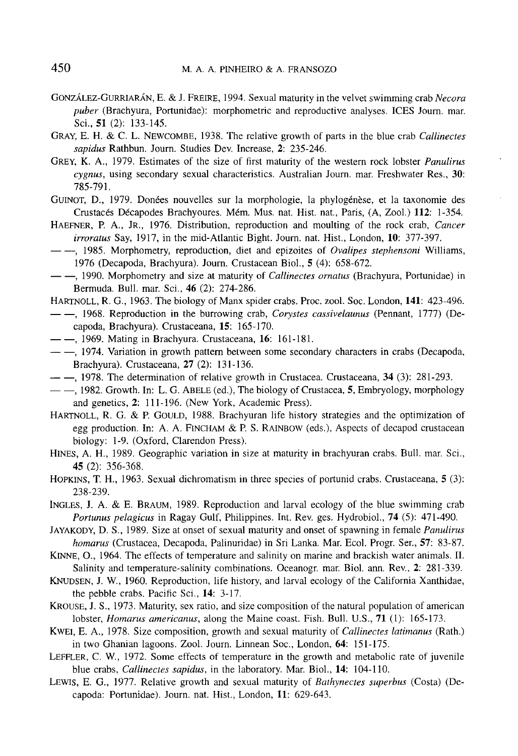- GONZALEZ-GURRIARAN, E. & J. FREIRE, 1994. Sexual maturity in the velvet swimming crab *Necora puber* (Brachyura, Portunidae): morphometric and reproductive analyses. ICES Journ. mar. Sci., 51 (2): 133-145.
- GRAY, E. H. & C. L. NEWCOMBE, 1938. The relative growth of parts in the blue crab *Callinectes sapidus* Rathbun. Journ. Studies Dev. Increase, 2: 235-246.
- GREY, K. A., 1979. Estimates of the size of first maturity of the western rock lobster *Panulirus cygnus,* using secondary sexual characteristics. Australian Journ. mar. Freshwater Res., 30: 785-791.
- GUINOT, D., 1979. Donées nouvelles sur la morphologie, la phylogénèse, et la taxonomie des Crustaces Decapodes Brachyoures. Mem. Mus. nat. Hist. nat., Paris, (A, Zool.) 112: 1-354.
- HAEFNER, P. A., JR., 1976. Distribution, reproduction and moulting of the rock crab, *Cancer irroratus* Say, 1917, in the mid-Atlantic Bight. Journ. nat. Hist., London, 10: 377-397.
- $---$ , 1985. Morphometry, reproduction, diet and epizoites of *Ovalipes stephensoni* Williams, 1976 (Decapoda, Brachyura). Journ. Crustacean BioI., 5 (4): 658-672.
- $-$ , 1990. Morphometry and size at maturity of *Callinectes ornatus* (Brachyura, Portunidae) in Bermuda. Bull. mar. Sci., 46 (2): 274-286.
- HARTNOLL, R. G., 1963. The biology of Manx spider crabs. Proc. zool. Soc. London, 141: 423-496.
- $-$ , 1968. Reproduction in the burrowing crab, *Corystes cassivelaunus* (Pennant, 1777) (Decapoda, Brachyura). Crustaceana, 15: 165-170.
- $-$ , 1969. Mating in Brachyura. Crustaceana, 16: 161-181.
- $-$ , 1974. Variation in growth pattern between some secondary characters in crabs (Decapoda, Brachyura). Crustaceana, 27 (2): 131-136.
- $-$ , 1978. The determination of relative growth in Crustacea. Crustaceana, 34 (3): 281-293.
- $-$ , 1982. Growth. In: L. G. ABELE (ed.), The biology of Crustacea, 5, Embryology, morphology and genetics, 2: 111-196. (New York, Academic Press).
- HARTNOLL, R. G. & P. GOULD, 1988. Brachyuran life history strategies and the optimization of egg production. In: A. A. FINCHAM & P. S. RAINBOW (eds.), Aspects of decapod crustacean biology: 1-9. (Oxford, Clarendon Press).
- HINES, A. H., 1989. Geographic variation in size at maturity in brachyuran crabs. Bull. mar. Sci., 45 (2): 356-368.
- HOPKINS, T. H., 1963. Sexual dichromatism in three species of portunid crabs. Crustaceana, 5 (3): 238-239.
- INGLES, J. A. & E. BRAUM, 1989. Reproduction and larval ecology of the blue swimming crab *Portunus pelagicus* in Ragay Gulf, Philippines. Int. Rev. ges. Hydrobiol., 74 (5): 471-490.
- JAYAKODY, D. S., 1989. Size at onset of sexual maturity and onset of spawning in female *Panulirus homarus* (Crustacea, Decapoda, Palinuridae) in Sri Lanka. Mar. Ecol. Progr. Ser., 57: 83-87.
- KINNE, 0., 1964. The effects of temperature and salinity on marine and brackish water animals. II. Salinity and temperature-salinity combinations. Oceanogr. mar. BioI. ann. Rev., 2: 281-339.
- KNUDSEN, J. W., 1960. Reproduction, life history, and larval ecology of the California Xanthidae, the pebble crabs. Pacific Sci., 14: 3-17.
- KROUSE, J. S., 1973. Maturity, sex ratio, and size composition of the natural population of american lobster, *Homarus americanus,* along the Maine coast. Fish. Bull. U.S., 71 (I): 165-173.
- KWEI, E. A., 1978. Size composition, growth and sexual maturity of *Callinectes latimanus* (Rath.) in two Ghanian lagoons. Zool. Journ. Linnean Soc., London, 64: 151-175.
- LEFFLER, C. W., 1972. Some effects of temperature in the growth and metabolic rate of juvenile blue crabs, *Callinectes sapidus,* in the laboratory. Mar. BioI., 14: 104-110.
- LEWIS, E. G., 1977. Relative growth and sexual maturity of *Bathynectes superbus* (Costa) (Decapoda: Portunidae). Journ. nat. Hist., London, 11: 629-643.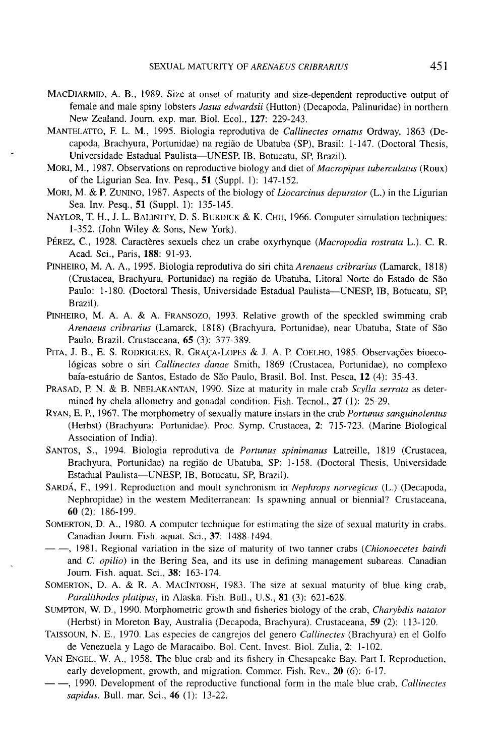- MACDIARMID, A. B., 1989. Size at onset of maturity and size-dependent reproductive output of female and male spiny lobsters *Jasus edwardsii* (Hutton) (Decapoda, Palinuridae) in northern New Zealand. Journ. exp. mar. Biol. Ecol., 127: 229-243.
- MANTELATTO, F. L. M., 1995. Biologia reprodutiva de *Callinectes ornatus* Ordway, 1863 (Decapoda, Brachyura, Portunidae) na regiao de Ubatuba (SP), Brasil: 1-147. (Doctoral Thesis, Universidade Estadual Paulista-UNESP, lB, Botucatu, SP, Brazil).
- MORI, M., 1987. Observations on reproductive biology and diet of *Macropipus tuberculatus* (Roux) of the Ligurian Sea. Inv. Pesq., 51 (Suppl. I): 147-152.
- MORI, M. & P. ZUNINO, 1987. Aspects of the biology of *Liocarcinus depurator* (L.) in the Ligurian Sea. Inv. Pesq., 51 (Suppl. 1): 135-145.
- NAYLOR, T. H., J. L. BALINTFY, D. S. BURDICK & K. CHU, 1966. Computer simulation techniques: 1-352. (John Wiley & Sons, New York).
- PEREZ, C., 1928. Caracteres sexuels chez un crabe oxyrhynque *(Macropodia rostrata* L.). C. R. Acad. Sci., Paris, 188: 91-93.
- PINHEIRO, M. A. A., 1995. Biologia reprodutiva do siri chita *Arenaeus cribrarius* (Lamarck, 1818) (Crustacea, Brachyura, Portunidae) na regiao de Ubatuba, Litoral Norte do Estado de Sao Paulo: 1-180. (Doctoral Thesis, Universidade Estadual Paulista-UNESP, IB, Botucatu, SP, Brazil).
- PINHEIRO, M. A. A. & A. FRANSOZO, 1993. Relative growth of the speckled swimming crab *Arenaeus cribrarius* (Lamarck, 1818) (Brachyura, Portunidae), near Ubatuba, State of Sao Paulo, Brazil. Crustaceana, 65 (3): 377-389.
- PITA, J. B., E. S. RODRIGUES, R. GRAÇA-LOPES & J. A. P. COELHO, 1985. Observações bioeco-16gicas sobre 0 siri *Callinectes danae* Smith, 1869 (Crustacea, Portunidae), no complexo baía-estuário de Santos, Estado de São Paulo, Brasil. Bol. Inst. Pesca, 12 (4): 35-43.
- PRASAD, P. N. & B. NEELAKANTAN, 1990. Size at maturity in male crab *Scylla serrata* as determined by chela allometry and gonadal condition. Fish. Tecnol., 27 (1): 25-29.
- RYAN, E. P., 1967. The morphometry of sexually mature instars in the crab *Portunus sanguinolentus* (Herbst) (Brachyura: Portunidae). Proc. Symp. Crustacea, 2: 715-723. (Marine Biological Association of India).
- SANTOS, S., 1994. Biologia reprodutiva de *Portunus spinimanus* Latreille, 1819 (Crustacea, Brachyura, Portunidae) na regiao de Ubatuba, SP: 1-158. (Doctoral Thesis, Universidade Estadual Paulista-UNESP, lB, Botucatu, SP, Brazil).
- SARDA, F., 1991. Reproduction and moult synchronism in *Nephrops norvegicus* (L.) (Decapoda, Nephropidae) in the western Mediterranean: Is spawning annual or biennial? Crustaceana, 60 (2): 186-199.
- SOMERTON, D. A., 1980. A computer technique for estimating the size of sexual maturity in crabs. Canadian Journ. Fish. aquat. Sci., 37: 1488-1494.
- $-$ , 1981. Regional variation in the size of maturity of two tanner crabs *(Chionoecetes bairdi*) and C. *opilio)* in the Bering Sea, and its use in defining management subareas. Canadian Journ. Fish. aquat. Sci., 38: 163-174.
- SOMERTON, D. A. & R. A. MACINTOSH, 1983. The size at sexual maturity of blue king crab, *Paralithodes platipus,* in Alaska. Fish. Bull., U.S., 81 (3): 621-628.
- SUMPTON, W. D., 1990. Morphometric growth and fisheries biology of the crab, *Charybdis natator* (Herbst) in Moreton Bay, Australia (Decapoda, Brachyura). Crustaceana, 59 (2): 113-120.
- TAISSOUN, N. E., 1970. Las especies de cangrejos del genero *Callinectes* (Brachyura) en el Golfo de Venezuela y Lago de Maracaibo. Bol. Cent. Invest. BioI. Zulia, 2: 1-102.
- VAN ENGEL, W. A., 1958. The blue crab and its fishery in Chesapeake Bay. Part 1. Reproduction, early development, growth, and migration. Commer. Fish. Rev., 20 (6): 6-17.
- $-$ , 1990. Development of the reproductive functional form in the male blue crab, *Callinectes sapidus.* Bull. mar. Sci., 46 (1): 13-22.